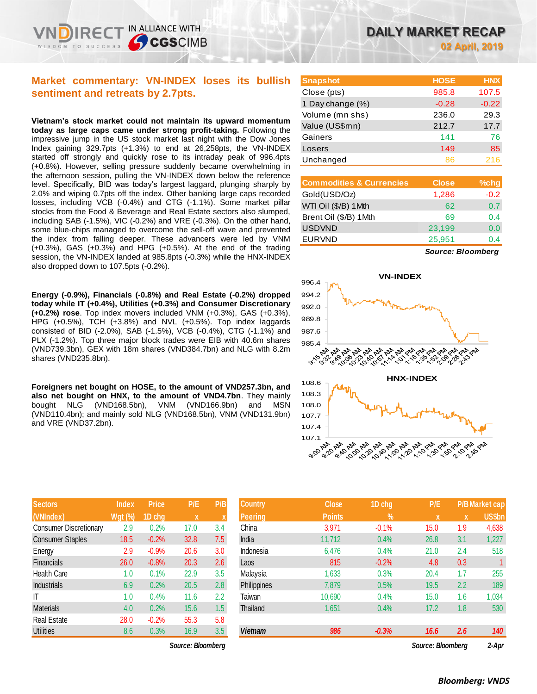## **Market commentary: VN-INDEX loses its bullish sentiment and retreats by 2.7pts.**

IN ALLIANCE WITH

**CGSCIMB** 

**Vietnam's stock market could not maintain its upward momentum today as large caps came under strong profit-taking.** Following the impressive jump in the US stock market last night with the Dow Jones Index gaining 329.7pts (+1.3%) to end at 26,258pts, the VN-INDEX started off strongly and quickly rose to its intraday peak of 996.4pts (+0.8%). However, selling pressure suddenly became overwhelming in the afternoon session, pulling the VN-INDEX down below the reference level. Specifically, BID was today's largest laggard, plunging sharply by 2.0% and wiping 0.7pts off the index. Other banking large caps recorded losses, including VCB (-0.4%) and CTG (-1.1%). Some market pillar stocks from the Food & Beverage and Real Estate sectors also slumped, including SAB (-1.5%), VIC (-0.2%) and VRE (-0.3%). On the other hand, some blue-chips managed to overcome the sell-off wave and prevented the index from falling deeper. These advancers were led by VNM (+0.3%), GAS (+0.3%) and HPG (+0.5%). At the end of the trading session, the VN-INDEX landed at 985.8pts (-0.3%) while the HNX-INDEX also dropped down to 107.5pts (-0.2%).

**Energy (-0.9%), Financials (-0.8%) and Real Estate (-0.2%) dropped today while IT (+0.4%), Utilities (+0.3%) and Consumer Discretionary (+0.2%) rose**. Top index movers included VNM (+0.3%), GAS (+0.3%), HPG (+0.5%), TCH (+3.8%) and NVL (+0.5%). Top index laggards consisted of BID (-2.0%), SAB (-1.5%), VCB (-0.4%), CTG (-1.1%) and PLX (-1.2%). Top three major block trades were EIB with 40.6m shares (VND739.3bn), GEX with 18m shares (VND384.7bn) and NLG with 8.2m shares (VND235.8bn).

**Foreigners net bought on HOSE, to the amount of VND257.3bn, and also net bought on HNX, to the amount of VND4.7bn**. They mainly bought NLG (VND168.5bn), VNM (VND166.9bn) and MSN (VND110.4bn); and mainly sold NLG (VND168.5bn), VNM (VND131.9bn) and VRE (VND37.2bn).

| <b>Sectors</b>                | <b>Index</b> | <b>Price</b> | P/E  | P/B |
|-------------------------------|--------------|--------------|------|-----|
| (VNIndex)                     | $Wgt$ (%)    | 1D chg       | x    | X   |
| <b>Consumer Discretionary</b> | 2.9          | 0.2%         | 17.0 | 3.4 |
| <b>Consumer Staples</b>       | 18.5         | $-0.2%$      | 32.8 | 7.5 |
| Energy                        | 2.9          | $-0.9%$      | 20.6 | 3.0 |
| <b>Financials</b>             | 26.0         | $-0.8%$      | 20.3 | 2.6 |
| <b>Health Care</b>            | 1.0          | 0.1%         | 22.9 | 3.5 |
| <b>Industrials</b>            | 6.9          | 0.2%         | 20.5 | 2.8 |
| IT                            | 1.0          | 0.4%         | 11.6 | 2.2 |
| <b>Materials</b>              | 4.0          | 0.2%         | 15.6 | 1.5 |
| <b>Real Estate</b>            | 28.0         | $-0.2%$      | 55.3 | 5.8 |
| <b>Utilities</b>              | 8.6          | 0.3%         | 16.9 | 3.5 |

| <b>Snapshot</b>  | <b>HOSE</b> | <b>HNX</b> |
|------------------|-------------|------------|
| Close (pts)      | 985.8       | 107.5      |
| 1 Day change (%) | $-0.28$     | $-0.22$    |
| Volume (mn shs)  | 236.0       | 29.3       |
| Value (US\$mn)   | 212.7       | 17.7       |
| Gainers          | 141         | 76         |
| Losers           | 149         | 85         |
| Unchanged        | 86          | 216        |
|                  |             |            |

| <b>Commodities &amp; Currencies</b> | <b>Close</b> | $%$ chg |
|-------------------------------------|--------------|---------|
| Gold(USD/Oz)                        | 1,286        | $-0.2$  |
| WTI Oil (\$/B) 1 Mth                | 62           | 0.7     |
| Brent Oil (\$/B) 1Mth               | 69           | 0.4     |
| <b>USDVND</b>                       | 23,199       | 0.0     |
| <b>EURVND</b>                       | 25,951       | በ 4     |
|                                     |              |         |

*Source: Bloomberg*



| <b>Sectors</b>                | <b>Index</b> | <b>Price</b> | P/E               | P/B | <b>Country</b> | <b>Close</b>  | 1D chg        | P/E               |     | <b>P/B Market cap</b> |
|-------------------------------|--------------|--------------|-------------------|-----|----------------|---------------|---------------|-------------------|-----|-----------------------|
| (VNIndex)                     | Wgt (%)      | 1D chg       | $\mathbf{x}$      |     | <b>Peering</b> | <b>Points</b> | $\frac{9}{6}$ | ΙX.               | X   | <b>US\$bn</b>         |
| <b>Consumer Discretionary</b> | 2.9          | 0.2%         | 17.0              | 3.4 | China          | 3,971         | $-0.1%$       | 15.0              | 1.9 | 4,638                 |
| <b>Consumer Staples</b>       | 18.5         | $-0.2%$      | 32.8              | 7.5 | India          | 11,712        | 0.4%          | 26.8              | 3.1 | 1,227                 |
| Energy                        | 2.9          | $-0.9%$      | 20.6              | 3.0 | Indonesia      | 6,476         | 0.4%          | 21.0              | 2.4 | 518                   |
| <b>Financials</b>             | 26.0         | $-0.8%$      | 20.3              | 2.6 | Laos           | 815           | $-0.2%$       | 4.8               | 0.3 |                       |
| Health Care                   | 1.0          | 0.1%         | 22.9              | 3.5 | Malaysia       | 1,633         | 0.3%          | 20.4              | 1.7 | 255                   |
| <b>Industrials</b>            | 6.9          | 0.2%         | 20.5              | 2.8 | Philippines    | 7,879         | 0.5%          | 19.5              | 2.2 | 189                   |
| Τ                             | 1.0          | 0.4%         | 11.6              | 2.2 | Taiwan         | 10,690        | 0.4%          | 15.0              | 1.6 | 1,034                 |
| Materials                     | 4.0          | 0.2%         | 15.6              | 1.5 | Thailand       | 1,651         | 0.4%          | 17.2              | 1.8 | 530                   |
| Real Estate                   | 28.0         | $-0.2%$      | 55.3              | 5.8 |                |               |               |                   |     |                       |
| <b>Utilities</b>              | 8.6          | 0.3%         | 16.9              | 3.5 | Vietnam        | 986           | $-0.3%$       | 16.6              | 2.6 | 140                   |
|                               |              |              | Source: Bloomberg |     |                |               |               | Source: Bloombera |     | 2-Apr                 |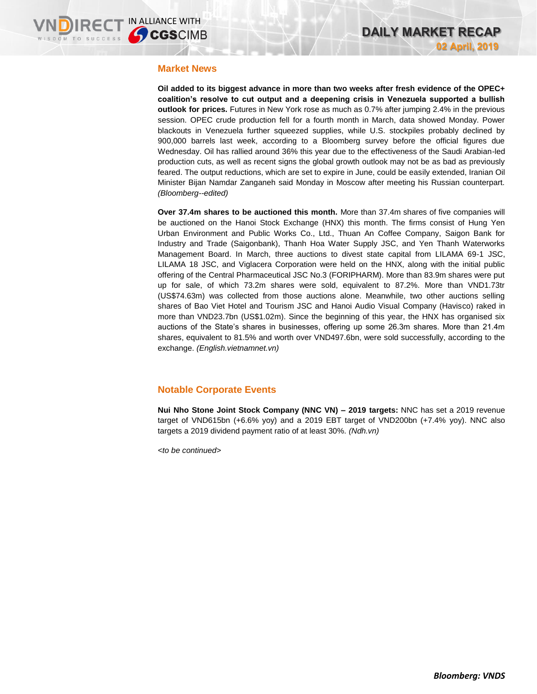#### **Market News**

**Oil added to its biggest advance in more than two weeks after fresh evidence of the OPEC+ coalition's resolve to cut output and a deepening crisis in Venezuela supported a bullish outlook for prices.** Futures in New York rose as much as 0.7% after jumping 2.4% in the previous session. OPEC crude production fell for a fourth month in March, data showed Monday. Power blackouts in Venezuela further squeezed supplies, while U.S. stockpiles probably declined by 900,000 barrels last week, according to a Bloomberg survey before the official figures due Wednesday. Oil has rallied around 36% this year due to the effectiveness of the Saudi Arabian-led production cuts, as well as recent signs the global growth outlook may not be as bad as previously feared. The output reductions, which are set to expire in June, could be easily extended, Iranian Oil Minister Bijan Namdar Zanganeh said Monday in Moscow after meeting his Russian counterpart. *(Bloomberg--edited)*

**Over 37.4m shares to be auctioned this month.** More than 37.4m shares of five companies will be auctioned on the Hanoi Stock Exchange (HNX) this month. The firms consist of Hung Yen Urban Environment and Public Works Co., Ltd., Thuan An Coffee Company, Saigon Bank for Industry and Trade (Saigonbank), Thanh Hoa Water Supply JSC, and Yen Thanh Waterworks Management Board. In March, three auctions to divest state capital from LILAMA 69-1 JSC, LILAMA 18 JSC, and Viglacera Corporation were held on the HNX, along with the initial public offering of the Central Pharmaceutical JSC No.3 (FORIPHARM). More than 83.9m shares were put up for sale, of which 73.2m shares were sold, equivalent to 87.2%. More than VND1.73tr (US\$74.63m) was collected from those auctions alone. Meanwhile, two other auctions selling shares of Bao Viet Hotel and Tourism JSC and Hanoi Audio Visual Company (Havisco) raked in more than VND23.7bn (US\$1.02m). Since the beginning of this year, the HNX has organised six auctions of the State's shares in businesses, offering up some 26.3m shares. More than 21.4m shares, equivalent to 81.5% and worth over VND497.6bn, were sold successfully, according to the exchange. *(English.vietnamnet.vn)*

## **Notable Corporate Events**

**Nui Nho Stone Joint Stock Company (NNC VN) – 2019 targets:** NNC has set a 2019 revenue target of VND615bn (+6.6% yoy) and a 2019 EBT target of VND200bn (+7.4% yoy). NNC also targets a 2019 dividend payment ratio of at least 30%. *(Ndh.vn)*

*<to be continued>*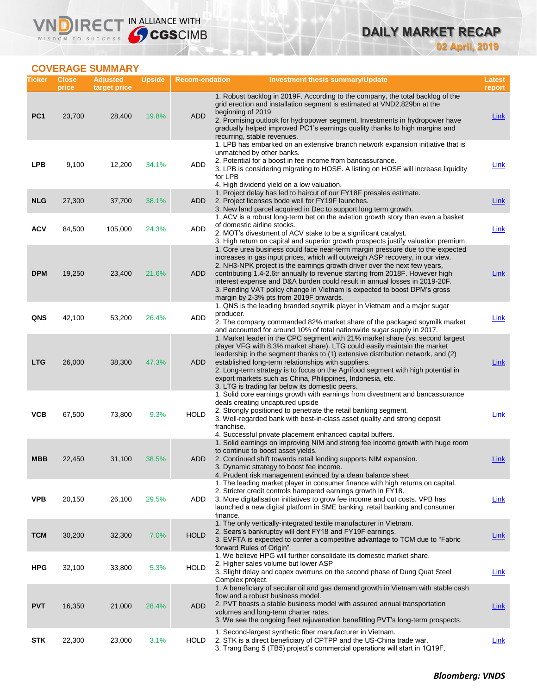

## **COVERAGE SUMMARY**

VND

| Ticker          | <b>Close</b><br>price | <b>Adjusted</b><br>target price | <b>Upside</b> | <b>Recom-endation</b> | <b>Investment thesis summary/Update</b>                                                                                                                                                                                                                                                                                                                                                                                                                                                                                          | Latest<br>report |
|-----------------|-----------------------|---------------------------------|---------------|-----------------------|----------------------------------------------------------------------------------------------------------------------------------------------------------------------------------------------------------------------------------------------------------------------------------------------------------------------------------------------------------------------------------------------------------------------------------------------------------------------------------------------------------------------------------|------------------|
| PC <sub>1</sub> | 23,700                | 28,400                          | 19.8%         | <b>ADD</b>            | 1. Robust backlog in 2019F. According to the company, the total backlog of the<br>grid erection and installation segment is estimated at VND2,829bn at the<br>beginning of 2019<br>2. Promising outlook for hydropower segment. Investments in hydropower have<br>gradually helped improved PC1's earnings quality thanks to high margins and<br>recurring, stable revenues.                                                                                                                                                     | Link             |
| <b>LPB</b>      | 9,100                 | 12,200                          | 34.1%         | ADD                   | 1. LPB has embarked on an extensive branch network expansion initiative that is<br>unmatched by other banks.<br>2. Potential for a boost in fee income from bancassurance.<br>3. LPB is considering migrating to HOSE. A listing on HOSE will increase liquidity<br>for LPB<br>4. High dividend yield on a low valuation.                                                                                                                                                                                                        | <b>Link</b>      |
| <b>NLG</b>      | 27,300                | 37,700                          | 38.1%         | <b>ADD</b>            | 1. Project delay has led to haircut of our FY18F presales estimate.<br>2. Project licenses bode well for FY19F launches.<br>3. New land parcel acquired in Dec to support long term growth.                                                                                                                                                                                                                                                                                                                                      | <b>Link</b>      |
| <b>ACV</b>      | 84,500                | 105,000                         | 24.3%         | <b>ADD</b>            | 1. ACV is a robust long-term bet on the aviation growth story than even a basket<br>of domestic airline stocks.<br>2. MOT's divestment of ACV stake to be a significant catalyst.<br>3. High return on capital and superior growth prospects justify valuation premium.                                                                                                                                                                                                                                                          | Link             |
| <b>DPM</b>      | 19,250                | 23,400                          | 21.6%         | ADD                   | 1. Core urea business could face near-term margin pressure due to the expected<br>increases in gas input prices, which will outweigh ASP recovery, in our view.<br>2. NH3-NPK project is the earnings growth driver over the next few years,<br>contributing 1.4-2.6tr annually to revenue starting from 2018F. However high<br>interest expense and D&A burden could result in annual losses in 2019-20F.<br>3. Pending VAT policy change in Vietnam is expected to boost DPM's gross<br>margin by 2-3% pts from 2019F onwards. | <b>Link</b>      |
| <b>QNS</b>      | 42,100                | 53,200                          | 26.4%         | <b>ADD</b>            | 1. QNS is the leading branded soymilk player in Vietnam and a major sugar<br>producer.<br>2. The company commanded 82% market share of the packaged soymilk market<br>and accounted for around 10% of total nationwide sugar supply in 2017.                                                                                                                                                                                                                                                                                     | Link             |
| <b>LTG</b>      | 26,000                | 38,300                          | 47.3%         | <b>ADD</b>            | 1. Market leader in the CPC segment with 21% market share (vs. second largest<br>player VFG with 8.3% market share). LTG could easily maintain the market<br>leadership in the segment thanks to (1) extensive distribution network, and (2)<br>established long-term relationships with suppliers.<br>2. Long-term strategy is to focus on the Agrifood segment with high potential in<br>export markets such as China, Philippines, Indonesia, etc.<br>3. LTG is trading far below its domestic peers.                         | <b>Link</b>      |
| <b>VCB</b>      | 67,500                | 73,800                          | 9.3%          | <b>HOLD</b>           | 1. Solid core earnings growth with earnings from divestment and bancassurance<br>deals creating uncaptured upside<br>2. Strongly positioned to penetrate the retail banking segment.<br>3. Well-regarded bank with best-in-class asset quality and strong deposit<br>franchise.<br>4. Successful private placement enhanced capital buffers.                                                                                                                                                                                     | Link             |
| MBB             | 22,450                | 31,100                          | 38.5%         | ADD                   | 1. Solid earnings on improving NIM and strong fee income growth with huge room<br>to continue to boost asset yields.<br>2. Continued shift towards retail lending supports NIM expansion.<br>3. Dynamic strategy to boost fee income.<br>4. Prudent risk management evinced by a clean balance sheet                                                                                                                                                                                                                             | Link             |
| <b>VPB</b>      | 20,150                | 26,100                          | 29.5%         | ADD                   | 1. The leading market player in consumer finance with high returns on capital.<br>2. Stricter credit controls hampered earnings growth in FY18.<br>3. More digitalisation initiatives to grow fee income and cut costs. VPB has<br>launched a new digital platform in SME banking, retail banking and consumer<br>finance.                                                                                                                                                                                                       | <b>Link</b>      |
| <b>TCM</b>      | 30,200                | 32,300                          | 7.0%          | <b>HOLD</b>           | 1. The only vertically-integrated textile manufacturer in Vietnam.<br>2. Sears's bankruptcy will dent FY18 and FY19F earnings.<br>3. EVFTA is expected to confer a competitive advantage to TCM due to "Fabric"<br>forward Rules of Origin"                                                                                                                                                                                                                                                                                      | <b>Link</b>      |
| <b>HPG</b>      | 32,100                | 33,800                          | 5.3%          | <b>HOLD</b>           | 1. We believe HPG will further consolidate its domestic market share.<br>2. Higher sales volume but lower ASP<br>3. Slight delay and capex overruns on the second phase of Dung Quat Steel<br>Complex project.                                                                                                                                                                                                                                                                                                                   | <b>Link</b>      |
| <b>PVT</b>      | 16,350                | 21,000                          | 28.4%         | <b>ADD</b>            | 1. A beneficiary of secular oil and gas demand growth in Vietnam with stable cash<br>flow and a robust business model.<br>2. PVT boasts a stable business model with assured annual transportation<br>volumes and long-term charter rates.<br>3. We see the ongoing fleet rejuvenation benefitting PVT's long-term prospects.                                                                                                                                                                                                    | <b>Link</b>      |
| <b>STK</b>      | 22,300                | 23,000                          | 3.1%          | <b>HOLD</b>           | 1. Second-largest synthetic fiber manufacturer in Vietnam.<br>2. STK is a direct beneficiary of CPTPP and the US-China trade war.<br>3. Trang Bang 5 (TB5) project's commercial operations will start in 1Q19F.                                                                                                                                                                                                                                                                                                                  | <b>Link</b>      |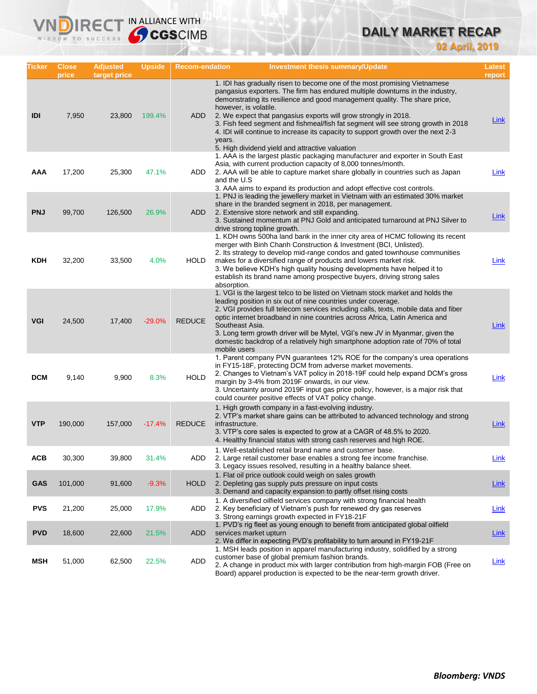# **DAILY MARKET RECAP**

**02 April, 2019**

| Ticker     | <b>Close</b><br>price | <b>Adjusted</b><br>target price | <b>Upside</b> | <b>Recom-endation</b> | <b>Investment thesis summary/Update</b>                                                                                                                                                                                                                                                                                                                                                                                                                                                                                                                                     | Latest<br>report |
|------------|-----------------------|---------------------------------|---------------|-----------------------|-----------------------------------------------------------------------------------------------------------------------------------------------------------------------------------------------------------------------------------------------------------------------------------------------------------------------------------------------------------------------------------------------------------------------------------------------------------------------------------------------------------------------------------------------------------------------------|------------------|
| IDI        | 7,950                 | 23,800                          | 199.4%        | ADD                   | 1. IDI has gradually risen to become one of the most promising Vietnamese<br>pangasius exporters. The firm has endured multiple downturns in the industry,<br>demonstrating its resilience and good management quality. The share price,<br>however, is volatile.<br>2. We expect that pangasius exports will grow strongly in 2018.<br>3. Fish feed segment and fishmeal/fish fat segment will see strong growth in 2018<br>4. IDI will continue to increase its capacity to support growth over the next 2-3<br>years.<br>5. High dividend yield and attractive valuation | <u>Link</u>      |
| AAA        | 17,200                | 25,300                          | 47.1%         | ADD                   | 1. AAA is the largest plastic packaging manufacturer and exporter in South East<br>Asia, with current production capacity of 8,000 tonnes/month.<br>2. AAA will be able to capture market share globally in countries such as Japan<br>and the U.S<br>3. AAA aims to expand its production and adopt effective cost controls.                                                                                                                                                                                                                                               | Link             |
| <b>PNJ</b> | 99,700                | 126,500                         | 26.9%         | ADD                   | 1. PNJ is leading the jewellery market in Vietnam with an estimated 30% market<br>share in the branded segment in 2018, per management.<br>2. Extensive store network and still expanding.<br>3. Sustained momentum at PNJ Gold and anticipated turnaround at PNJ Silver to<br>drive strong topline growth.                                                                                                                                                                                                                                                                 | <b>Link</b>      |
| <b>KDH</b> | 32,200                | 33,500                          | 4.0%          | <b>HOLD</b>           | 1. KDH owns 500ha land bank in the inner city area of HCMC following its recent<br>merger with Binh Chanh Construction & Investment (BCI, Unlisted).<br>2. Its strategy to develop mid-range condos and gated townhouse communities<br>makes for a diversified range of products and lowers market risk.<br>3. We believe KDH's high quality housing developments have helped it to<br>establish its brand name among prospective buyers, driving strong sales<br>absorption.                                                                                               | <b>Link</b>      |
| <b>VGI</b> | 24,500                | 17,400                          | $-29.0%$      | <b>REDUCE</b>         | 1. VGI is the largest telco to be listed on Vietnam stock market and holds the<br>leading position in six out of nine countries under coverage.<br>2. VGI provides full telecom services including calls, texts, mobile data and fiber<br>optic internet broadband in nine countries across Africa, Latin America and<br>Southeast Asia.<br>3. Long term growth driver will be Mytel, VGI's new JV in Myanmar, given the<br>domestic backdrop of a relatively high smartphone adoption rate of 70% of total<br>mobile users                                                 | Link             |
| <b>DCM</b> | 9,140                 | 9,900                           | 8.3%          | <b>HOLD</b>           | 1. Parent company PVN guarantees 12% ROE for the company's urea operations<br>in FY15-18F, protecting DCM from adverse market movements.<br>2. Changes to Vietnam's VAT policy in 2018-19F could help expand DCM's gross<br>margin by 3-4% from 2019F onwards, in our view.<br>3. Uncertainty around 2019F input gas price policy, however, is a major risk that<br>could counter positive effects of VAT policy change.                                                                                                                                                    | Link             |
| <b>VTP</b> | 190,000               | 157,000                         | $-17.4%$      | <b>REDUCE</b>         | 1. High growth company in a fast-evolving industry.<br>2. VTP's market share gains can be attributed to advanced technology and strong<br>infrastructure.<br>3. VTP's core sales is expected to grow at a CAGR of 48.5% to 2020.<br>4. Healthy financial status with strong cash reserves and high ROE.                                                                                                                                                                                                                                                                     | Link             |
| <b>ACB</b> | 30,300                | 39,800                          | 31.4%         | ADD                   | 1. Well-established retail brand name and customer base.<br>2. Large retail customer base enables a strong fee income franchise.<br>3. Legacy issues resolved, resulting in a healthy balance sheet.                                                                                                                                                                                                                                                                                                                                                                        | <b>Link</b>      |
| <b>GAS</b> | 101,000               | 91,600                          | $-9.3%$       | <b>HOLD</b>           | 1. Flat oil price outlook could weigh on sales growth<br>2. Depleting gas supply puts pressure on input costs<br>3. Demand and capacity expansion to partly offset rising costs                                                                                                                                                                                                                                                                                                                                                                                             | <b>Link</b>      |
| <b>PVS</b> | 21,200                | 25,000                          | 17.9%         | ADD                   | 1. A diversified oilfield services company with strong financial health<br>2. Key beneficiary of Vietnam's push for renewed dry gas reserves<br>3. Strong earnings growth expected in FY18-21F                                                                                                                                                                                                                                                                                                                                                                              | <b>Link</b>      |
| <b>PVD</b> | 18,600                | 22,600                          | 21.5%         | ADD                   | 1. PVD's rig fleet as young enough to benefit from anticipated global oilfield<br>services market upturn<br>2. We differ in expecting PVD's profitability to turn around in FY19-21F                                                                                                                                                                                                                                                                                                                                                                                        | <b>Link</b>      |
| MSH        | 51,000                | 62,500                          | 22.5%         | ADD                   | 1. MSH leads position in apparel manufacturing industry, solidified by a strong<br>customer base of global premium fashion brands.<br>2. A change in product mix with larger contribution from high-margin FOB (Free on<br>Board) apparel production is expected to be the near-term growth driver.                                                                                                                                                                                                                                                                         | <b>Link</b>      |

**VNDIRECT IN ALLIANCE WITH**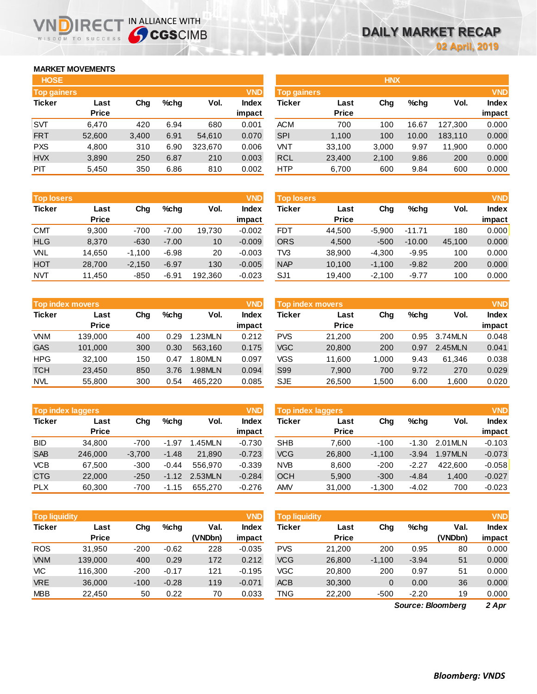## **MARKET MOVEMENTS**

WISDOM TO SUCCESS

| <b>HOSE</b>        |              |       |      |         |              |
|--------------------|--------------|-------|------|---------|--------------|
| <b>Top gainers</b> |              |       |      |         | <b>VND</b>   |
| <b>Ticker</b>      | Last         | Cha   | %chq | Vol.    | <b>Index</b> |
|                    | <b>Price</b> |       |      |         | impact       |
| <b>SVT</b>         | 6,470        | 420   | 6.94 | 680     | 0.001        |
| <b>FRT</b>         | 52,600       | 3,400 | 6.91 | 54,610  | 0.070        |
| <b>PXS</b>         | 4,800        | 310   | 6.90 | 323,670 | 0.006        |
| <b>HVX</b>         | 3,890        | 250   | 6.87 | 210     | 0.003        |
| PIT                | 5.450        | 350   | 6.86 | 810     | 0.002        |

**NDIRECT IN ALLIANCE WITH** 

| <b>Top losers</b> |              |          |         |         | <b>VND</b>   |
|-------------------|--------------|----------|---------|---------|--------------|
| <b>Ticker</b>     | Last         | Cha      | %chq    | Vol.    | <b>Index</b> |
|                   | <b>Price</b> |          |         |         | impact       |
| <b>CMT</b>        | 9.300        | $-700$   | $-7.00$ | 19,730  | $-0.002$     |
| <b>HLG</b>        | 8,370        | $-630$   | $-7.00$ | 10      | $-0.009$     |
| VNL               | 14,650       | $-1,100$ | $-6.98$ | 20      | $-0.003$     |
| <b>HOT</b>        | 28,700       | $-2,150$ | $-6.97$ | 130     | $-0.005$     |
| <b>NVT</b>        | 11,450       | $-850$   | $-6.91$ | 192,360 | $-0.023$     |

|               | <b>Top index movers</b> |     |      |         | <b>VND</b>   |
|---------------|-------------------------|-----|------|---------|--------------|
| <b>Ticker</b> | Last                    | Cha | %chq | Vol.    | <b>Index</b> |
|               | <b>Price</b>            |     |      |         | impact       |
| VNM           | 139,000                 | 400 | 0.29 | 1.23MLN | 0.212        |
| <b>GAS</b>    | 101,000                 | 300 | 0.30 | 563,160 | 0.175        |
| <b>HPG</b>    | 32,100                  | 150 | 0.47 | 1.80MLN | 0.097        |
| <b>TCH</b>    | 23,450                  | 850 | 3.76 | 1.98MLN | 0.094        |
| <b>NVL</b>    | 55,800                  | 300 | 0.54 | 465.220 | 0.085        |

| <b>Top index laggers</b> |              |          |         |         |              |  |  |  |
|--------------------------|--------------|----------|---------|---------|--------------|--|--|--|
| <b>Ticker</b>            | Last         | Cha      | %chq    | Vol.    | <b>Index</b> |  |  |  |
|                          | <b>Price</b> |          |         |         | impact       |  |  |  |
| <b>BID</b>               | 34,800       | $-700$   | $-1.97$ | 1.45MLN | $-0.730$     |  |  |  |
| <b>SAB</b>               | 246,000      | $-3,700$ | $-1.48$ | 21,890  | $-0.723$     |  |  |  |
| <b>VCB</b>               | 67,500       | $-300$   | $-0.44$ | 556.970 | $-0.339$     |  |  |  |
| <b>CTG</b>               | 22,000       | $-250$   | $-1.12$ | 2.53MLN | $-0.284$     |  |  |  |
| <b>PLX</b>               | 60,300       | $-700$   | $-1.15$ | 655.270 | $-0.276$     |  |  |  |

| <b>Top liquidity</b> |              |        |         |         |              |  |  |  |
|----------------------|--------------|--------|---------|---------|--------------|--|--|--|
| <b>Ticker</b>        | Last         | Cha    | %chq    | Val.    | <b>Index</b> |  |  |  |
|                      | <b>Price</b> |        |         | (VNDbn) | impact       |  |  |  |
| <b>ROS</b>           | 31,950       | $-200$ | $-0.62$ | 228     | $-0.035$     |  |  |  |
| <b>VNM</b>           | 139,000      | 400    | 0.29    | 172     | 0.212        |  |  |  |
| VIC                  | 116,300      | $-200$ | $-0.17$ | 121     | $-0.195$     |  |  |  |
| <b>VRE</b>           | 36,000       | $-100$ | $-0.28$ | 119     | $-0.071$     |  |  |  |
| <b>MBB</b>           | 22,450       | 50     | 0.22    | 70      | 0.033        |  |  |  |

| <b>HOSE</b>        |              |       |         |         |              |                    |              | <b>HNX</b> |         |         |              |
|--------------------|--------------|-------|---------|---------|--------------|--------------------|--------------|------------|---------|---------|--------------|
| <b>Top gainers</b> |              |       |         |         | <b>VND</b>   | <b>Top gainers</b> |              |            |         |         | <b>VND</b>   |
| <b>Ticker</b>      | Last         | Chg   | $%$ chq | Vol.    | <b>Index</b> | Ticker             | Last         | Chg        | $%$ chq | Vol.    | <b>Index</b> |
|                    | <b>Price</b> |       |         |         | impact       |                    | <b>Price</b> |            |         |         | impact       |
| SVT                | 6,470        | 420   | 6.94    | 680     | 0.001        | <b>ACM</b>         | 700          | 100        | 16.67   | 127.300 | 0.000        |
| <b>FRT</b>         | 52,600       | 3,400 | 6.91    | 54,610  | 0.070        | <b>SPI</b>         | 1,100        | 100        | 10.00   | 183,110 | 0.000        |
| <b>PXS</b>         | 4,800        | 310   | 6.90    | 323.670 | 0.006        | VNT                | 33.100       | 3,000      | 9.97    | 11.900  | 0.000        |
| <b>HVX</b>         | 3,890        | 250   | 6.87    | 210     | 0.003        | <b>RCL</b>         | 23,400       | 2,100      | 9.86    | 200     | 0.000        |
| <b>PIT</b>         | 5,450        | 350   | 6.86    | 810     | 0.002        | <b>HTP</b>         | 6,700        | 600        | 9.84    | 600     | 0.000        |

| <b>Top losers</b> |                      |          |         |         | <b>VND</b>      | <b>Top losers</b> |                      |          |          |        | <b>VND</b>             |
|-------------------|----------------------|----------|---------|---------|-----------------|-------------------|----------------------|----------|----------|--------|------------------------|
| <b>Ticker</b>     | Last<br><b>Price</b> | Chg      | %chq    | Vol.    | Index<br>impact | Ticker            | Last<br><b>Price</b> | Chg      | $%$ chq  | Vol.   | <b>Index</b><br>impact |
| СМТ               | 9,300                | $-700$   | $-7.00$ | 19,730  | $-0.002$        | <b>FDT</b>        | 44,500               | $-5.900$ | $-11.71$ | 180    | 0.000                  |
| <b>HLG</b>        | 8,370                | $-630$   | $-7.00$ | 10      | $-0.009$        | <b>ORS</b>        | 4,500                | $-500$   | $-10.00$ | 45.100 | 0.000                  |
| VNL               | 14.650               | $-1.100$ | $-6.98$ | 20      | $-0.003$        | TV3               | 38,900               | $-4.300$ | $-9.95$  | 100    | 0.000                  |
| HOT               | 28.700               | $-2.150$ | $-6.97$ | 130     | $-0.005$        | <b>NAP</b>        | 10,100               | $-1.100$ | $-9.82$  | 200    | 0.000                  |
| NVT               | 11,450               | $-850$   | $-6.91$ | 192,360 | $-0.023$        | SJ <sub>1</sub>   | 19,400               | $-2,100$ | $-9.77$  | 100    | 0.000                  |

| Top index movers |              |     |      |         | <b>VND</b> | <b>Top index movers</b> |              | <b>VND</b> |         |         |              |
|------------------|--------------|-----|------|---------|------------|-------------------------|--------------|------------|---------|---------|--------------|
| Ticker           | Last         | Chg | %chq | Vol.    | Index      | Ticker                  | Last         | Chg        | $%$ chq | Vol.    | <b>Index</b> |
|                  | <b>Price</b> |     |      |         | impact     |                         | <b>Price</b> |            |         |         | impact       |
| <b>VNM</b>       | 139,000      | 400 | 0.29 | 1.23MLN | 0.212      | <b>PVS</b>              | 21.200       | 200        | 0.95    | 3.74MLN | 0.048        |
| GAS              | 101,000      | 300 | 0.30 | 563.160 | 0.175      | <b>VGC</b>              | 20,800       | 200        | 0.97    | 2.45MLN | 0.041        |
| HPG              | 32.100       | 150 | 0.47 | 1.80MLN | 0.097      | VGS                     | 11,600       | 1.000      | 9.43    | 61.346  | 0.038        |
| тсн              | 23.450       | 850 | 3.76 | 1.98MLN | 0.094      | S99                     | 7.900        | 700        | 9.72    | 270     | 0.029        |
| NVL              | 55,800       | 300 | 0.54 | 465.220 | 0.085      | <b>SJE</b>              | 26,500       | .500       | 6.00    | 1,600   | 0.020        |

|            | <b>Top index laggers</b> |          |         |         | <b>VND</b> | <b>Top index laggers</b> |                      |          |         |          |              |  |
|------------|--------------------------|----------|---------|---------|------------|--------------------------|----------------------|----------|---------|----------|--------------|--|
| Ticker     | Last<br><b>Price</b>     | Chg      | %chq    | Vol.    | Index      | Ticker                   | Last<br><b>Price</b> | Chg      | $%$ chq | Vol.     | <b>Index</b> |  |
|            |                          |          |         |         | impact     |                          |                      |          |         |          | impact       |  |
| BID        | 34.800                   | $-700$   | $-1.97$ | 1.45MLN | $-0.730$   | <b>SHB</b>               | 7.600                | $-100$   | $-1.30$ | 2.01 MLN | $-0.103$     |  |
| <b>SAB</b> | 246,000                  | $-3.700$ | $-1.48$ | 21.890  | $-0.723$   | VCG                      | 26,800               | $-1.100$ | $-3.94$ | 1.97MLN  | $-0.073$     |  |
| <b>VCB</b> | 67.500                   | $-300$   | $-0.44$ | 556.970 | $-0.339$   | <b>NVB</b>               | 8,600                | $-200$   | $-2.27$ | 422,600  | $-0.058$     |  |
| <b>CTG</b> | 22,000                   | $-250$   | $-1.12$ | 2.53MLN | $-0.284$   | <b>OCH</b>               | 5,900                | $-300$   | $-4.84$ | 1.400    | $-0.027$     |  |
| <b>PLX</b> | 60.300                   | $-700$   | $-1.15$ | 655,270 | $-0.276$   | <b>AMV</b>               | 31,000               | $-1.300$ | $-4.02$ | 700      | $-0.023$     |  |

| <b>Top liquidity</b> |              |        |         |         | <b>VND</b>   | Top liquidity' |              |          |         |                   | <b>VND</b>   |
|----------------------|--------------|--------|---------|---------|--------------|----------------|--------------|----------|---------|-------------------|--------------|
| Ticker               | Last         | Chg    | %chq    | Val.    | <b>Index</b> | Ticker         | Last         | Chg      | $%$ chq | Val.              | <b>Index</b> |
|                      | <b>Price</b> |        |         | (VNDbn) | impact       |                | <b>Price</b> |          |         | (VNDbn)           | impact       |
| <b>ROS</b>           | 31.950       | $-200$ | $-0.62$ | 228     | $-0.035$     | <b>PVS</b>     | 21.200       | 200      | 0.95    | 80                | 0.000        |
| <b>VNM</b>           | 139,000      | 400    | 0.29    | 172     | 0.212        | <b>VCG</b>     | 26,800       | $-1,100$ | $-3.94$ | 51                | 0.000        |
| VIC                  | 116.300      | $-200$ | $-0.17$ | 121     | $-0.195$     | <b>VGC</b>     | 20,800       | 200      | 0.97    | 51                | 0.000        |
| <b>VRE</b>           | 36,000       | $-100$ | $-0.28$ | 119     | $-0.071$     | <b>ACB</b>     | 30,300       | 0        | 0.00    | 36                | 0.000        |
| <b>MBB</b>           | 22,450       | 50     | 0.22    | 70      | 0.033        | TNG            | 22,200       | -500     | $-2.20$ | 19                | 0.000        |
|                      |              |        |         |         |              |                |              |          |         | Source: Bloomberg | 2 Apr        |

*2 Apr Source: Bloomberg*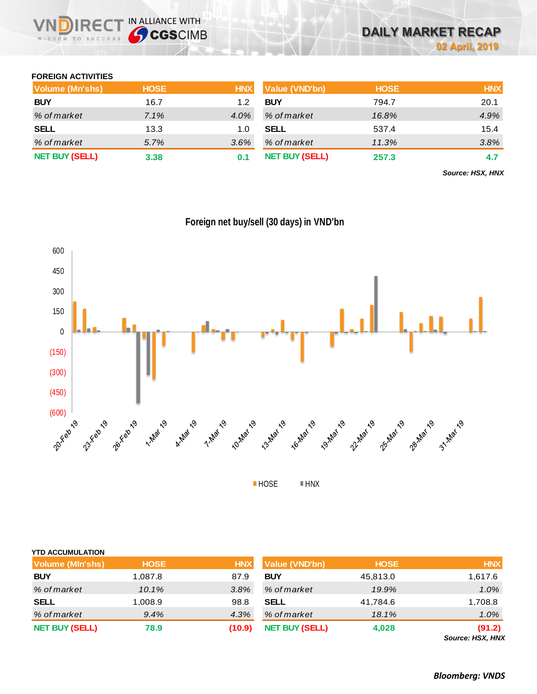

#### **FOREIGN ACTIVITIES**

| Volume (Mn'shs)       | <b>HOSE</b> | <b>HNX</b> | <b>Value (VND'bn)</b> | <b>HOSE</b> | <b>HNX</b> |
|-----------------------|-------------|------------|-----------------------|-------------|------------|
| <b>BUY</b>            | 16.7        | 1.2        | <b>BUY</b>            | 794.7       | 20.1       |
| % of market           | 7.1%        | 4.0%       | % of market           | 16.8%       | 4.9%       |
| <b>SELL</b>           | 13.3        | 1.0        | <b>SELL</b>           | 537.4       | 15.4       |
| % of market           | 5.7%        | 3.6%       | % of market           | 11.3%       | 3.8%       |
| <b>NET BUY (SELL)</b> | 3.38        | 0.1        | <b>NET BUY (SELL)</b> | 257.3       | 4.7        |

*Source: HSX, HNX*



**Foreign net buy/sell (30 days) in VND'bn**

| <b>YTD ACCUMULATION</b> |             |            |                       |             |                                          |
|-------------------------|-------------|------------|-----------------------|-------------|------------------------------------------|
| Volume (MIn'shs)        | <b>HOSE</b> | <b>HNX</b> | <b>Value (VND'bn)</b> | <b>HOSE</b> | <b>HNX</b>                               |
| <b>BUY</b>              | 1,087.8     | 87.9       | <b>BUY</b>            | 45,813.0    | 1,617.6                                  |
| % of market             | 10.1%       | 3.8%       | % of market           | 19.9%       | $1.0\%$                                  |
| <b>SELL</b>             | 1,008.9     | 98.8       | <b>SELL</b>           | 41,784.6    | 1,708.8                                  |
| % of market             | $9.4\%$     | 4.3%       | % of market           | 18.1%       | $1.0\%$                                  |
| <b>NET BUY (SELL)</b>   | 78.9        | (10.9)     | <b>NET BUY (SELL)</b> | 4,028       | (91.2)<br>$O_{\text{max}} = 110V$ $111V$ |

*Source: HSX, HNX*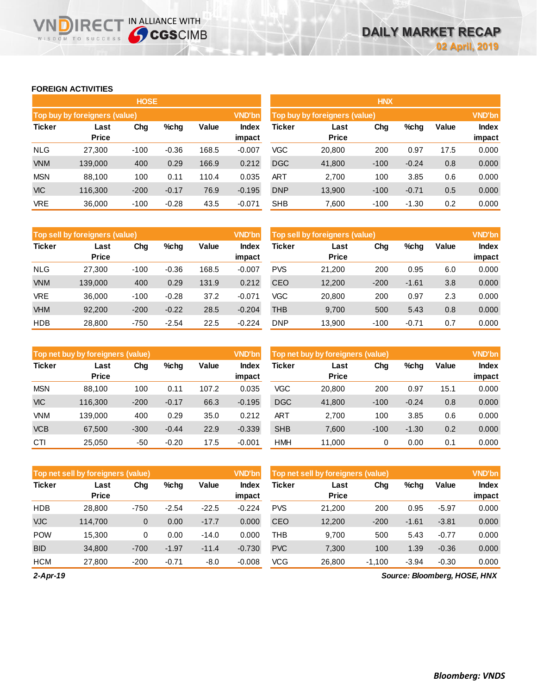## **FOREIGN ACTIVITIES**

**VNDIRECT IN ALLIANCE WITH** 

|               |                               | <b>HOSE</b> |         |       |                        | <b>HNX</b> |                               |        |         |       |                        |  |
|---------------|-------------------------------|-------------|---------|-------|------------------------|------------|-------------------------------|--------|---------|-------|------------------------|--|
|               | Top buy by foreigners (value) |             |         |       | <b>VND'bn</b>          |            | Top buy by foreigners (value) |        |         |       | <b>VND'bn</b>          |  |
| <b>Ticker</b> | Last<br><b>Price</b>          | Chg         | $%$ chg | Value | <b>Index</b><br>impact | Ticker     | Last<br><b>Price</b>          | Chg    | %chg    | Value | <b>Index</b><br>impact |  |
| <b>NLG</b>    | 27,300                        | $-100$      | $-0.36$ | 168.5 | $-0.007$               | <b>VGC</b> | 20,800                        | 200    | 0.97    | 17.5  | 0.000                  |  |
| <b>VNM</b>    | 139,000                       | 400         | 0.29    | 166.9 | 0.212                  | <b>DGC</b> | 41,800                        | $-100$ | $-0.24$ | 0.8   | 0.000                  |  |
| <b>MSN</b>    | 88,100                        | 100         | 0.11    | 110.4 | 0.035                  | ART        | 2,700                         | 100    | 3.85    | 0.6   | 0.000                  |  |
| <b>VIC</b>    | 116.300                       | $-200$      | $-0.17$ | 76.9  | $-0.195$               | <b>DNP</b> | 13,900                        | $-100$ | $-0.71$ | 0.5   | 0.000                  |  |
| <b>VRE</b>    | 36,000                        | $-100$      | $-0.28$ | 43.5  | $-0.071$               | <b>SHB</b> | 7,600                         | $-100$ | $-1.30$ | 0.2   | 0.000                  |  |

|               | Top sell by foreigners (value) |        |         |       | <b>VND'bn</b>          | Top sell by foreigners (value) |                      |        |         |       |                        |
|---------------|--------------------------------|--------|---------|-------|------------------------|--------------------------------|----------------------|--------|---------|-------|------------------------|
| <b>Ticker</b> | Last<br><b>Price</b>           | Chg    | $%$ chq | Value | <b>Index</b><br>impact | Ticker                         | Last<br><b>Price</b> | Chg    | %chg    | Value | <b>Index</b><br>impact |
| <b>NLG</b>    | 27,300                         | $-100$ | $-0.36$ | 168.5 | $-0.007$               | <b>PVS</b>                     | 21,200               | 200    | 0.95    | 6.0   | 0.000                  |
| <b>VNM</b>    | 139,000                        | 400    | 0.29    | 131.9 | 0.212                  | <b>CEO</b>                     | 12,200               | $-200$ | $-1.61$ | 3.8   | 0.000                  |
| <b>VRE</b>    | 36,000                         | $-100$ | $-0.28$ | 37.2  | $-0.071$               | VGC                            | 20,800               | 200    | 0.97    | 2.3   | 0.000                  |
| <b>VHM</b>    | 92,200                         | $-200$ | $-0.22$ | 28.5  | $-0.204$               | THB                            | 9.700                | 500    | 5.43    | 0.8   | 0.000                  |
| <b>HDB</b>    | 28,800                         | $-750$ | $-2.54$ | 22.5  | $-0.224$               | DNP                            | 13.900               | $-100$ | $-0.71$ | 0.7   | 0.000                  |

|               | Top net buy by foreigners (value) |        |         |       | <b>VND'bn</b>          | Top net buy by foreigners (value) |                      | <b>VND'bn</b> |         |       |                 |
|---------------|-----------------------------------|--------|---------|-------|------------------------|-----------------------------------|----------------------|---------------|---------|-------|-----------------|
| <b>Ticker</b> | Last<br><b>Price</b>              | Chg    | %chg    | Value | <b>Index</b><br>impact | Ticker                            | Last<br><b>Price</b> | Chg           | %chg    | Value | Index<br>impact |
| <b>MSN</b>    | 88.100                            | 100    | 0.11    | 107.2 | 0.035                  | <b>VGC</b>                        | 20,800               | 200           | 0.97    | 15.1  | 0.000           |
| <b>VIC</b>    | 116.300                           | $-200$ | $-0.17$ | 66.3  | $-0.195$               | <b>DGC</b>                        | 41,800               | $-100$        | $-0.24$ | 0.8   | 0.000           |
| <b>VNM</b>    | 139.000                           | 400    | 0.29    | 35.0  | 0.212                  | ART                               | 2.700                | 100           | 3.85    | 0.6   | 0.000           |
| <b>VCB</b>    | 67.500                            | $-300$ | $-0.44$ | 22.9  | $-0.339$               | <b>SHB</b>                        | 7.600                | $-100$        | $-1.30$ | 0.2   | 0.000           |
| CTI           | 25,050                            | -50    | $-0.20$ | 17.5  | $-0.001$               | HMH                               | 11.000               |               | 0.00    | 0.1   | 0.000           |

|               | Top net sell by foreigners (value) |        |         |         | <b>VND'bn</b>   | Top net sell by foreigners (value) |                      | <b>VND'bn</b> |         |         |                              |
|---------------|------------------------------------|--------|---------|---------|-----------------|------------------------------------|----------------------|---------------|---------|---------|------------------------------|
| <b>Ticker</b> | Last<br><b>Price</b>               | Chg    | $%$ chg | Value   | Index<br>impact | <b>Ticker</b>                      | Last<br><b>Price</b> | Chg           | %chg    | Value   | Index<br>impact              |
| <b>HDB</b>    | 28,800                             | $-750$ | $-2.54$ | $-22.5$ | $-0.224$        | <b>PVS</b>                         | 21.200               | 200           | 0.95    | $-5.97$ | 0.000                        |
| <b>VJC</b>    | 114.700                            | 0      | 0.00    | $-17.7$ | 0.000           | CEO                                | 12,200               | $-200$        | $-1.61$ | $-3.81$ | 0.000                        |
| <b>POW</b>    | 15,300                             | 0      | 0.00    | $-14.0$ | 0.000           | THB                                | 9,700                | 500           | 5.43    | $-0.77$ | 0.000                        |
| <b>BID</b>    | 34,800                             | $-700$ | $-1.97$ | $-11.4$ | $-0.730$        | <b>PVC</b>                         | 7,300                | 100           | 1.39    | $-0.36$ | 0.000                        |
| <b>HCM</b>    | 27,800                             | $-200$ | $-0.71$ | $-8.0$  | $-0.008$        | <b>VCG</b>                         | 26,800               | $-1,100$      | $-3.94$ | $-0.30$ | 0.000                        |
| $2-Apr-19$    |                                    |        |         |         |                 |                                    |                      |               |         |         | Source: Bloomberg, HOSE, HNX |

*Source: Bloomberg, HOSE, HNX*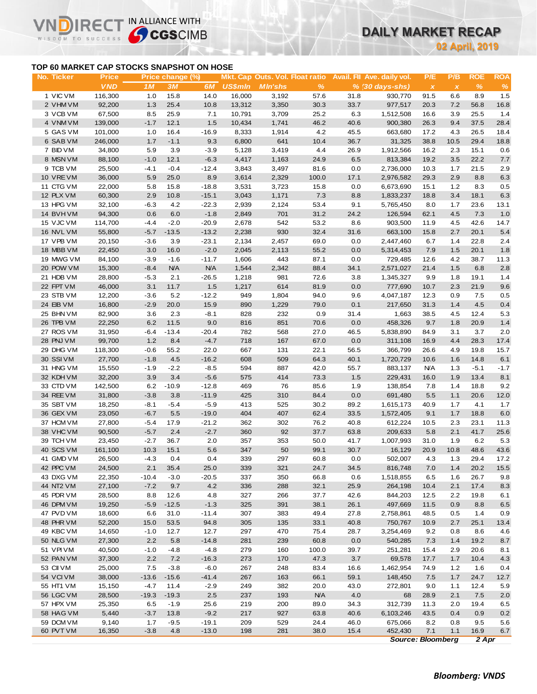## **DAILY MARKET RECAP**

**02 April, 2019**

### **TOP 60 MARKET CAP STOCKS SNAPSHOT ON HOSE**

IR<sub>E</sub>

IN ALLIANCE WITH

|                                           |                            |                  |                        |                       |                |                                                   |              |              |                                               |                     | 02 April, 2019      |                    |                    |
|-------------------------------------------|----------------------------|------------------|------------------------|-----------------------|----------------|---------------------------------------------------|--------------|--------------|-----------------------------------------------|---------------------|---------------------|--------------------|--------------------|
| TOP 60 MARKET CAP STOCKS SNAPSHOT ON HOSE |                            |                  |                        |                       |                |                                                   |              |              |                                               |                     |                     |                    |                    |
| No. Ticker                                | <b>Price</b><br><b>VND</b> | 1M               | Price change (%)<br>3M | 6M                    | <b>US\$mln</b> | Mkt. Cap Outs. Vol. Float ratio<br><b>MIn'shs</b> | %            |              | Avail. Fil Ave. daily vol.<br>% (30 days-shs) | P/E<br>$\pmb{\chi}$ | P/B<br>$\pmb{\chi}$ | <b>ROE</b><br>$\%$ | <b>ROA</b><br>$\%$ |
| 1 VIC VM                                  | 116,300                    | 1.0              | 15.8                   | 14.0                  | 16,000         | 3,192                                             | 57.6         | 31.8         | 930.770                                       | 91.5                | 6.6                 | 8.9                | 1.5                |
| 2 VHM VM                                  | 92,200                     | 1.3              | 25.4                   | 10.8                  | 13,312         | 3,350                                             | 30.3         | 33.7         | 977,517                                       | 20.3                | 7.2                 | 56.8               | 16.8               |
| 3 VCB VM                                  | 67,500                     | 8.5              | 25.9                   | 7.1                   | 10,791         | 3,709                                             | 25.2         | 6.3          | 1,512,508                                     | 16.6                | 3.9                 | 25.5               | 1.4                |
| 4 VNM VM                                  | 139,000                    | $-1.7$           | 12.1                   | 1.5                   | 10,434         | 1,741                                             | 46.2         | 40.6         | 900,380                                       | 26.3                | 9.4                 | 37.5               | 28.4               |
| 5 GAS VM                                  | 101,000                    | 1.0              | 16.4                   | $-16.9$               | 8,333          | 1,914                                             | 4.2          | 45.5         | 663,680                                       | 17.2                | 4.3                 | 26.5               | 18.4               |
| 6 SAB VM                                  | 246,000                    | 1.7              | $-1.1$                 | 9.3                   | 6,800          | 641                                               | 10.4         | 36.7         | 31,325                                        | 38.8                | 10.5                | 29.4               | 18.8               |
| 7 BID VM                                  | 34,800                     | 5.9              | 3.9                    | $-3.9$                | 5,128          | 3,419                                             | 4.4          | 26.9         | 1,912,566                                     | 16.2                | 2.3                 | 15.1               | 0.6                |
| 8 MSN VM                                  | 88,100                     | $-1.0$           | 12.1                   | $-6.3$                | 4,417          | 1,163                                             | 24.9         | 6.5          | 813,384                                       | 19.2                | 3.5                 | 22.2               | 7.7                |
| 9 TCB VM                                  | 25,500                     | $-4.1$           | $-0.4$                 | $-12.4$               | 3,843          | 3,497                                             | 81.6         | 0.0          | 2,736,000                                     | 10.3                | 1.7                 | 21.5               | 2.9                |
| 10 VREVM                                  | 36,000                     | 5.9              | 25.0                   | 8.9                   | 3,614          | 2,329                                             | 100.0        | 17.1         | 2,976,582                                     | 29.3                | 2.9                 | 8.8                | 6.3                |
| 11 CTG VM                                 | 22,000                     | 5.8              | 15.8                   | $-18.8$               | 3,531          | 3,723                                             | 15.8         | 0.0          | 6,673,690                                     | 15.1                | 1.2                 | 8.3                | 0.5                |
| 12 PLX VM                                 | 60,300                     | 2.9              | 10.8                   | $-15.1$               | 3,043          | 1,171                                             | 7.3          | 8.8          | 1,833,237                                     | 18.8                | 3.4                 | 18.1               | 6.3                |
| 13 HPG VM                                 | 32,100                     | $-6.3$           | 4.2                    | $-22.3$               | 2,939          | 2,124                                             | 53.4         | 9.1          | 5,765,450                                     | 8.0                 | 1.7                 | 23.6               | 13.1               |
| 14 BVHVM                                  | 94,300                     | 0.6              | 6.0                    | $-1.8$                | 2,849          | 701                                               | 31.2         | 24.2         | 126,594                                       | 62.1                | 4.5                 | 7.3                | 1.0                |
| 15 VJC VM                                 | 114,700                    | $-4.4$           | $-2.0$                 | $-20.9$               | 2,678          | 542                                               | 53.2         | 8.6          | 903,500                                       | 11.9                | 4.5                 | 42.6               | 14.7               |
| 16 NVL VM                                 | 55,800                     | $-5.7$           | $-13.5$                | $-13.2$               | 2,238          | 930                                               | 32.4         | 31.6         | 663,100                                       | 15.8                | 2.7                 | 20.1               | 5.4                |
| 17 VPB VM                                 | 20,150                     | $-3.6$           | 3.9                    | $-23.1$               | 2,134          | 2,457                                             | 69.0         | 0.0          | 2,447,460                                     | 6.7                 | 1.4                 | 22.8               | 2.4                |
| 18 MBB VM                                 | 22,450                     | 3.0              | 16.0                   | $-2.0$                | 2,045          | 2,113                                             | 55.2         | 0.0          | 5,314,453                                     | 7.9                 | 1.5                 | 20.1               | 1.8                |
| 19 MWG VM<br>20 POW VM                    | 84,100                     | $-3.9$<br>$-8.4$ | $-1.6$                 | $-11.7$               | 1,606          | 443                                               | 87.1         | 0.0          | 729,485                                       | 12.6                | 4.2                 | 38.7<br>6.8        | 11.3               |
| 21 HDB VM                                 | 15,300<br>28,800           | $-5.3$           | <b>N/A</b><br>2.1      | <b>N/A</b><br>$-26.5$ | 1,544<br>1,218 | 2,342<br>981                                      | 88.4<br>72.6 | 34.1<br>3.8  | 2,571,027<br>1,345,327                        | 21.4<br>9.9         | 1.5<br>1.8          | 19.1               | 2.8<br>1.4         |
| 22 FPT VM                                 | 46,000                     | 3.1              | 11.7                   | 1.5                   | 1,217          | 614                                               | 81.9         | 0.0          | 777,690                                       | 10.7                | 2.3                 | 21.9               | 9.6                |
| 23 STB VM                                 | 12,200                     | $-3.6$           | 5.2                    | $-12.2$               | 949            | 1,804                                             | 94.0         | 9.6          | 4,047,187                                     | 12.3                | 0.9                 | 7.5                | 0.5                |
| 24 EIB VM                                 | 16,800                     | $-2.9$           | 20.0                   | 15.9                  | 890            | 1,229                                             | 79.0         | 0.1          | 217,650                                       | 31.3                | 1.4                 | 4.5                | 0.4                |
| 25 BHN VM                                 | 82,900                     | 3.6              | 2.3                    | $-8.1$                | 828            | 232                                               | 0.9          | 31.4         | 1,663                                         | 38.5                | 4.5                 | 12.4               | 5.3                |
| 26 TPB VM                                 | 22,250                     | 6.2              | 11.5                   | 9.0                   | 816            | 851                                               | 70.6         | 0.0          | 458,326                                       | 9.7                 | 1.8                 | 20.9               | $1.4$              |
| 27 ROS VM                                 | 31,950                     | $-6.4$           | $-13.4$                | $-20.4$               | 782            | 568                                               | 27.0         | 46.5         | 5,838,890                                     | 84.9                | 3.1                 | 3.7                | 2.0                |
| 28 PNJ VM                                 | 99,700                     | $1.2$            | 8.4                    | $-4.7$                | 718            | 167                                               | 67.0         | 0.0          | 311,108                                       | 16.9                | 4.4                 | 28.3               | 17.4               |
| 29 DHG VM                                 | 118,300                    | $-0.6$           | 55.2                   | 22.0                  | 667            | 131                                               | 22.1         | 56.5         | 366,799                                       | 26.6                | 4.9                 | 19.8               | 15.7               |
| 30 SSIVM                                  | 27,700                     | $-1.8$           | 4.5                    | $-16.2$               | 608            | 509                                               | 64.3         | 40.1         | 1,720,729                                     | 10.6                | 1.6                 | 14.8               | 6.1                |
| 31 HNG VM                                 | 15,550                     | $-1.9$           | $-2.2$                 | $-8.5$                | 594            | 887                                               | 42.0         | 55.7         | 883,137                                       | N/A                 | 1.3                 | $-5.1$             | $-1.7$             |
| 32 KDH VM                                 | 32,200                     | 3.9              | 3.4                    | $-5.6$                | 575            | 414                                               | 73.3         | 1.5          | 229,431                                       | 16.0                | 1.9                 | 13.4               | 8.1                |
| 33 CTD VM                                 | 142,500                    | 6.2              | $-10.9$                | $-12.8$               | 469            | 76                                                | 85.6         | 1.9          | 138,854                                       | 7.8                 | 1.4                 | 18.8               | 9.2                |
| 34 REE VM                                 | 31,800                     | $-3.8$           | 3.8                    | $-11.9$               | 425            | 310                                               | 84.4         | 0.0          | 691,480                                       | 5.5                 | 1.1                 | 20.6               | 12.0               |
| 35 SBT VM                                 | 18,250                     | $-8.1$           | $-5.4$                 | $-5.9$                | 413            | 525                                               | 30.2         | 89.2         | 1,615,173                                     | 40.9                | 1.7                 | 4.1                | 1.7                |
| 36 GEX VM                                 | 23,050                     | $-6.7$           | 5.5                    | $-19.0$               | 404            | 407                                               | 62.4         | 33.5         | 1,572,405                                     | 9.1                 | 1.7                 | 18.8               | 6.0                |
| 37 HCM VM                                 | 27,800                     | $-5.4$           | 17.9                   | $-21.2$               | 362            | 302                                               | 76.2         | 40.8         | 612,224                                       | 10.5                | 2.3                 | 23.1               | 11.3               |
| 38 VHC VM                                 | 90,500                     | $-5.7$           | 2.4                    | $-2.7$                | 360            | 92                                                | 37.7         | 63.8         | 209,633                                       | 5.8                 | 2.1                 | 41.7               | 25.6               |
| 39 TCH VM                                 | 23,450                     | $-2.7$           | 36.7                   | 2.0                   | 357            | 353                                               | 50.0         | 41.7         | 1,007,993                                     | 31.0                | 1.9                 | 6.2                | 5.3                |
| 40 SCS VM                                 | 161,100                    | 10.3             | 15.1                   | 5.6                   | 347            | 50                                                | 99.1         | 30.7         | 16,129                                        | 20.9                | 10.8                | 48.6               | 43.6               |
| 41 GMD VM                                 | 26,500                     | $-4.3$           | 0.4                    | 0.4                   | 339            | 297                                               | 60.8         | 0.0          | 502,007                                       | 4.3                 | 1.3                 | 29.4               | 17.2               |
| 42 PPC VM                                 | 24,500                     | 2.1              | 35.4                   | 25.0                  | 339            | 321                                               | 24.7         | 34.5         | 816,748                                       | 7.0                 | 1.4                 | 20.2               | 15.5               |
| 43 DXG VM                                 | 22,350                     | $-10.4$          | $-3.0$                 | $-20.5$               | 337            | 350                                               | 66.8         | 0.6          | 1,518,855                                     | 6.5                 | 1.6                 | 26.7               | 9.8                |
| 44 NT2 VM                                 | 27,100                     | $-7.2$           | 9.7                    | 4.2                   | 336            | 288                                               | 32.1         | 25.9         | 264,198                                       | 10.4                | 2.1                 | 17.4               | 8.3                |
| 45 PDR VM                                 | 28,500                     | 8.8              | 12.6                   | 4.8                   | 327            | 266                                               | 37.7         | 42.6         | 844,203                                       | 12.5                | 2.2                 | 19.8               | 6.1                |
| 46 DPM VM<br>47 PVD VM                    | 19,250                     | $-5.9$           | $-12.5$                | $-1.3$                | 325<br>307     | 391                                               | 38.1         | 26.1         | 497,669                                       | 11.5                | 0.9                 | 8.8                | 6.5                |
| 48 PHR VM                                 | 18,600<br>52,200           | 6.6<br>15.0      | 31.0<br>53.5           | $-11.4$<br>94.8       | 305            | 383<br>135                                        | 49.4<br>33.1 | 27.8<br>40.8 | 2,758,861<br>750,767                          | 48.5<br>10.9        | 0.5<br>2.7          | 1.4<br>25.1        | 0.9<br>13.4        |
| 49 KBC VM                                 | 14,650                     | $-1.0$           | 12.7                   | 12.7                  | 297            | 470                                               | 75.4         | 28.7         | 3,254,469                                     | 9.2                 | 0.8                 | 8.6                | 4.6                |
| 50 NLG VM                                 | 27,300                     | 2.2              | 5.8                    | $-14.8$               | 281            | 239                                               | 60.8         | 0.0          | 540,285                                       | 7.3                 | 1.4                 | 19.2               | 8.7                |
| 51 VPI VM                                 | 40,500                     | $-1.0$           | $-4.8$                 | $-4.8$                | 279            | 160                                               | 100.0        | 39.7         | 251,281                                       | 15.4                | 2.9                 | 20.6               | 8.1                |
| 52 PAN VM                                 | 37,300                     | 2.2              | 7.2                    | $-16.3$               | 273            | 170                                               | 47.3         | 3.7          | 69,578                                        | 17.7                | 1.7                 | 10.4               | 4.3                |
| 53 CII VM                                 | 25,000                     | 7.5              | $-3.8$                 | $-6.0$                | 267            | 248                                               | 83.4         | 16.6         | 1,462,954                                     | 74.9                | 1.2                 | 1.6                | 0.4                |
| 54 VCIVM                                  | 38,000                     | $-13.6$          | $-15.6$                | $-41.4$               | 267            | 163                                               | 66.1         | 59.1         | 148,450                                       | 7.5                 | 1.7                 | 24.7               | 12.7               |
| 55 HT1 VM                                 | 15,150                     | $-4.7$           | 11.4                   | $-2.9$                | 249            | 382                                               | 20.0         | 43.0         | 272,801                                       | 9.0                 | 1.1                 | 12.4               | 5.9                |
| 56 LGC VM                                 | 28,500                     | $-19.3$          | $-19.3$                | 2.5                   | 237            | 193                                               | <b>N/A</b>   | 4.0          | 68                                            | 28.9                | 2.1                 | 7.5                | 2.0                |
| 57 HPX VM                                 | 25,350                     | 6.5              | $-1.9$                 | 25.6                  | 219            | 200                                               | 89.0         | 34.3         | 312,739                                       | 11.3                | 2.0                 | 19.4               | 6.5                |
| 58 HAG VM                                 | 5,440                      | $-3.7$           | 13.8                   | $-9.2$                | 217            | 927                                               | 63.8         | 40.6         | 6,103,246                                     | 43.5                | 0.4                 | 0.9                | 0.2                |
| 59 DCM VM                                 | 9,140                      | 1.7              | $-9.5$                 | $-19.1$               | 209            | 529                                               | 24.4         | 46.0         | 675,066                                       | 8.2                 | 0.8                 | 9.5                | 5.6                |
|                                           |                            |                  |                        |                       |                |                                                   |              |              |                                               |                     |                     |                    |                    |